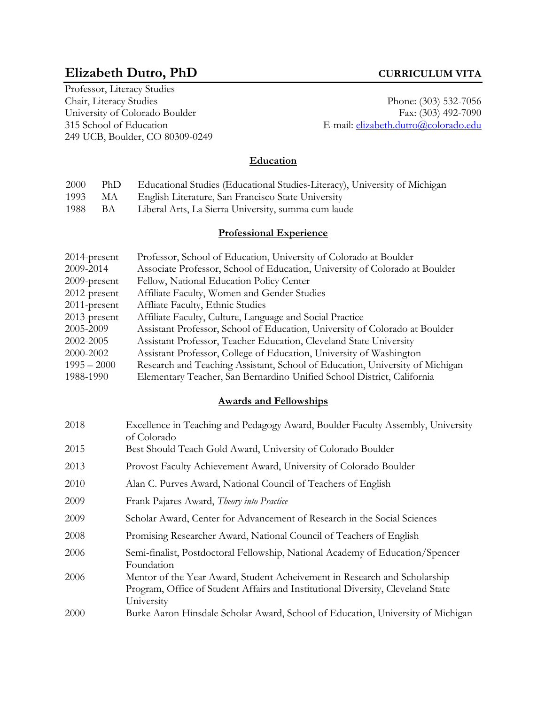# **Elizabeth Dutro, PhD CURRICULUM VITA**

Professor, Literacy Studies University of Colorado Boulder<br>315 School of Education 249 UCB, Boulder, CO 80309-0249

Phone: (303) 532-7056<br>Fax: (303) 492-7090 E-mail: elizabeth.dutro@colorado.edu

## **Education**

| 2000 | PhD | Educational Studies (Educational Studies-Literacy), University of Michigan |
|------|-----|----------------------------------------------------------------------------|
|      |     | 1993 MA English Literature, San Francisco State University                 |
| 1988 | BA  | Liberal Arts, La Sierra University, summa cum laude                        |

## **Professional Experience**

| $2014$ -present | Professor, School of Education, University of Colorado at Boulder            |
|-----------------|------------------------------------------------------------------------------|
| 2009-2014       | Associate Professor, School of Education, University of Colorado at Boulder  |
| $2009$ -present | Fellow, National Education Policy Center                                     |
| $2012$ -present | Affiliate Faculty, Women and Gender Studies                                  |
| $2011$ -present | Affliate Faculty, Ethnic Studies                                             |
| $2013$ -present | Affiliate Faculty, Culture, Language and Social Practice                     |
| 2005-2009       | Assistant Professor, School of Education, University of Colorado at Boulder  |
| 2002-2005       | Assistant Professor, Teacher Education, Cleveland State University           |
| 2000-2002       | Assistant Professor, College of Education, University of Washington          |
| $1995 - 2000$   | Research and Teaching Assistant, School of Education, University of Michigan |
| 1988-1990       | Elementary Teacher, San Bernardino Unified School District, California       |

## **Awards and Fellowships**

| 2018 | Excellence in Teaching and Pedagogy Award, Boulder Faculty Assembly, University<br>of Colorado                                                                             |
|------|----------------------------------------------------------------------------------------------------------------------------------------------------------------------------|
| 2015 | Best Should Teach Gold Award, University of Colorado Boulder                                                                                                               |
| 2013 | Provost Faculty Achievement Award, University of Colorado Boulder                                                                                                          |
| 2010 | Alan C. Purves Award, National Council of Teachers of English                                                                                                              |
| 2009 | Frank Pajares Award, Theory into Practice                                                                                                                                  |
| 2009 | Scholar Award, Center for Advancement of Research in the Social Sciences                                                                                                   |
| 2008 | Promising Researcher Award, National Council of Teachers of English                                                                                                        |
| 2006 | Semi-finalist, Postdoctoral Fellowship, National Academy of Education/Spencer<br>Foundation                                                                                |
| 2006 | Mentor of the Year Award, Student Acheivement in Research and Scholarship<br>Program, Office of Student Affairs and Institutional Diversity, Cleveland State<br>University |
| 2000 | Burke Aaron Hinsdale Scholar Award, School of Education, University of Michigan                                                                                            |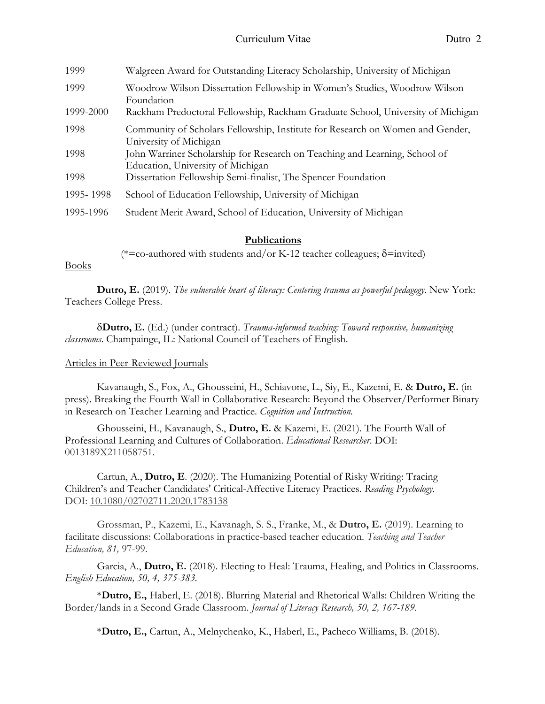| 1999      | Walgreen Award for Outstanding Literacy Scholarship, University of Michigan                                     |
|-----------|-----------------------------------------------------------------------------------------------------------------|
| 1999      | Woodrow Wilson Dissertation Fellowship in Women's Studies, Woodrow Wilson<br>Foundation                         |
| 1999-2000 | Rackham Predoctoral Fellowship, Rackham Graduate School, University of Michigan                                 |
| 1998      | Community of Scholars Fellowship, Institute for Research on Women and Gender,<br>University of Michigan         |
| 1998      | John Warriner Scholarship for Research on Teaching and Learning, School of<br>Education, University of Michigan |
| 1998      | Dissertation Fellowship Semi-finalist, The Spencer Foundation                                                   |
| 1995-1998 | School of Education Fellowship, University of Michigan                                                          |
| 1995-1996 | Student Merit Award, School of Education, University of Michigan                                                |

## **Publications**

(\*=co-authored with students and/or K-12 teacher colleagues;  $\delta$ =invited)

## Books

**Dutro, E.** (2019). *The vulnerable heart of literacy: Centering trauma as powerful pedagogy.* New York: Teachers College Press.

d**Dutro, E.** (Ed.) (under contract). *Trauma-informed teaching: Toward responsive, humanizing classrooms*. Champainge, IL: National Council of Teachers of English.

## Articles in Peer-Reviewed Journals

Kavanaugh, S., Fox, A., Ghousseini, H., Schiavone, L., Siy, E., Kazemi, E. & **Dutro, E.** (in press). Breaking the Fourth Wall in Collaborative Research: Beyond the Observer/Performer Binary in Research on Teacher Learning and Practice. *Cognition and Instruction.*

Ghousseini, H., Kavanaugh, S., **Dutro, E.** & Kazemi, E. (2021). The Fourth Wall of Professional Learning and Cultures of Collaboration. *Educational Researcher*. DOI: 0013189X211058751.

Cartun, A., **Dutro, E**. (2020). The Humanizing Potential of Risky Writing: Tracing Children's and Teacher Candidates' Critical-Affective Literacy Practices. *Reading Psychology.* DOI: 10.1080/02702711.2020.1783138

Grossman, P., Kazemi, E., Kavanagh, S. S., Franke, M., & **Dutro, E.** (2019). Learning to facilitate discussions: Collaborations in practice-based teacher education. *Teaching and Teacher Education, 81,* 97-99.

Garcia, A., **Dutro, E.** (2018). Electing to Heal: Trauma, Healing, and Politics in Classrooms. *English Education, 50, 4, 375-383.*

\***Dutro, E.,** Haberl, E. (2018). Blurring Material and Rhetorical Walls: Children Writing the Border/lands in a Second Grade Classroom. *Journal of Literacy Research, 50, 2, 167-189.* 

\***Dutro, E.,** Cartun, A., Melnychenko, K., Haberl, E., Pacheco Williams, B. (2018).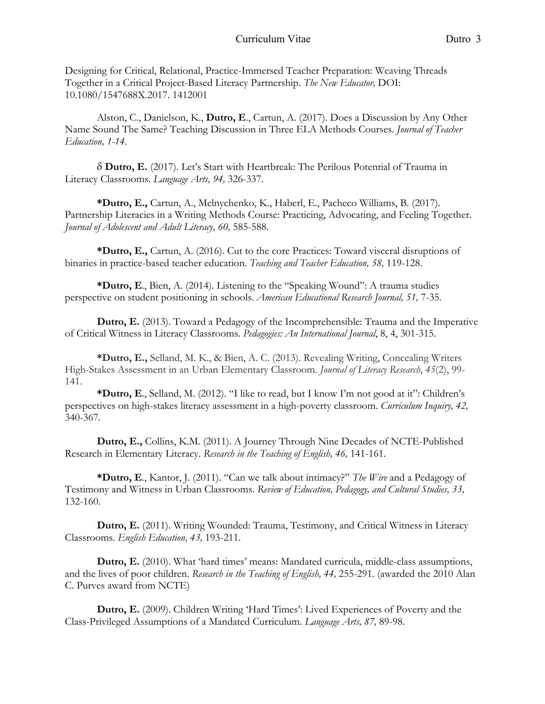Designing for Critical, Relational, Practice-Immersed Teacher Preparation: Weaving Threads Together in a Critical Project-Based Literacy Partnership. *The New Educator,* DOI: 10.1080/1547688X.2017. 1412001

Alston, C., Danielson, K., **Dutro, E**., Cartun, A. (2017). Does a Discussion by Any Other Name Sound The Same? Teaching Discussion in Three ELA Methods Courses. *Journal of Teacher Education, 1-14.*

d **Dutro, E.** (2017). Let's Start with Heartbreak: The Perilous Potential of Trauma in Literacy Classrooms. *Language Arts, 94,* 326-337.

**\*Dutro, E.,** Cartun, A., Melnychenko, K., Haberl, E., Pacheco Williams, B. (2017). Partnership Literacies in a Writing Methods Course: Practicing, Advocating, and Feeling Together. *Journal of Adolescent and Adult Literacy, 60,* 585-588.

**\*Dutro, E.,** Cartun, A. (2016). Cut to the core Practices: Toward visceral disruptions of binaries in practice-based teacher education. *Teaching and Teacher Education, 58,* 119-128.

**\*Dutro, E**., Bien, A. (2014). Listening to the "Speaking Wound": A trauma studies perspective on student positioning in schools. *American Educational Research Journal, 51,* 7-35.

**Dutro, E.** (2013). Toward a Pedagogy of the Incomprehensible: Trauma and the Imperative of Critical Witness in Literacy Classrooms. *Pedagogies: An International Journal*, 8, 4, 301-315.

**\*Dutro, E.,** Selland, M. K., & Bien, A. C. (2013). Revealing Writing, Concealing Writers High-Stakes Assessment in an Urban Elementary Classroom. *Journal of Literacy Research*, *45*(2), 99- 141.

**\*Dutro, E**., Selland, M. (2012). "I like to read, but I know I'm not good at it": Children's perspectives on high-stakes literacy assessment in a high-poverty classroom. *Curriculum Inquiry, 42,*  340-367*.*

**Dutro, E.,** Collins, K.M. (2011). A Journey Through Nine Decades of NCTE-Published Research in Elementary Literacy. *Research in the Teaching of English, 46,* 141-161*.* 

**\*Dutro, E**., Kantor, J. (2011). "Can we talk about intimacy?" *The Wire* and a Pedagogy of Testimony and Witness in Urban Classrooms. *Review of Education, Pedagogy, and Cultural Studies, 33,*  132-160*.* 

**Dutro, E.** (2011). Writing Wounded: Trauma, Testimony, and Critical Witness in Literacy Classrooms. *English Education, 43,* 193-211.

**Dutro, E.** (2010). What 'hard times' means: Mandated curricula, middle-class assumptions, and the lives of poor children. *Research in the Teaching of English, 44,* 255-291*.* (awarded the 2010 Alan C. Purves award from NCTE)

**Dutro, E.** (2009). Children Writing 'Hard Times': Lived Experiences of Poverty and the Class-Privileged Assumptions of a Mandated Curriculum. *Language Arts, 87,* 89-98.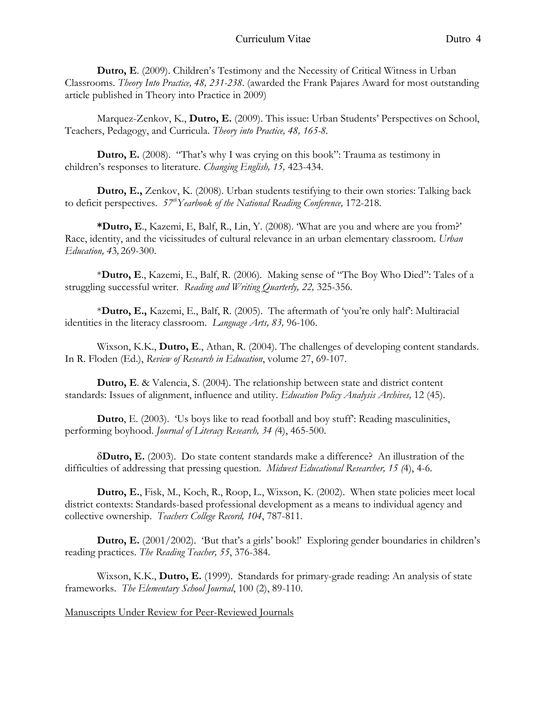**Dutro, E**. (2009). Children's Testimony and the Necessity of Critical Witness in Urban Classrooms. *Theory Into Practice, 48, 231-238*. (awarded the Frank Pajares Award for most outstanding article published in Theory into Practice in 2009)

Marquez-Zenkov, K., **Dutro, E.** (2009). This issue: Urban Students' Perspectives on School, Teachers, Pedagogy, and Curricula. *Theory into Practice, 48, 165-8.* 

**Dutro, E.** (2008). "That's why I was crying on this book": Trauma as testimony in children's responses to literature. *Changing English, 15,* 423-434*.*

**Dutro, E.,** Zenkov, K. (2008). Urban students testifying to their own stories: Talking back to deficit perspectives. *57thYearbook of the National Reading Conference,* 172-218.

**\*Dutro, E**., Kazemi, E, Balf, R., Lin, Y. (2008). 'What are you and where are you from?' Race, identity, and the vicissitudes of cultural relevance in an urban elementary classroom. *Urban Education, 4*3*,* 269-300.

\***Dutro, E**., Kazemi, E., Balf, R. (2006). Making sense of "The Boy Who Died": Tales of a struggling successful writer. *Reading and Writing Quarterly, 22,* 325-356*.*

\***Dutro, E.,** Kazemi, E., Balf, R. (2005). The aftermath of 'you're only half': Multiracial identities in the literacy classroom. *Language Arts, 83,* 96-106.

Wixson, K.K., **Dutro, E**., Athan, R. (2004). The challenges of developing content standards. In R. Floden (Ed.), *Review of Research in Education*, volume 27, 69-107.

**Dutro, E**. & Valencia, S. (2004). The relationship between state and district content standards: Issues of alignment, influence and utility. *Education Policy Analysis Archives,* 12 (45).

**Dutro**, E. (2003). 'Us boys like to read football and boy stuff': Reading masculinities, performing boyhood. *Journal of Literacy Research, 34 (*4), 465-500.

d**Dutro, E.** (2003). Do state content standards make a difference? An illustration of the difficulties of addressing that pressing question. *Midwest Educational Researcher, 15 (*4), 4-6*.*

**Dutro, E.**, Fisk, M., Koch, R., Roop, L., Wixson, K. (2002). When state policies meet local district contexts: Standards-based professional development as a means to individual agency and collective ownership. *Teachers College Record, 104*, 787-811.

**Dutro, E.** (2001/2002). 'But that's a girls' book!' Exploring gender boundaries in children's reading practices. *The Reading Teacher, 55*, 376-384.

Wixson, K.K., **Dutro, E.** (1999). Standards for primary-grade reading: An analysis of state frameworks. *The Elementary School Journal*, 100 (2), 89-110.

Manuscripts Under Review for Peer-Reviewed Journals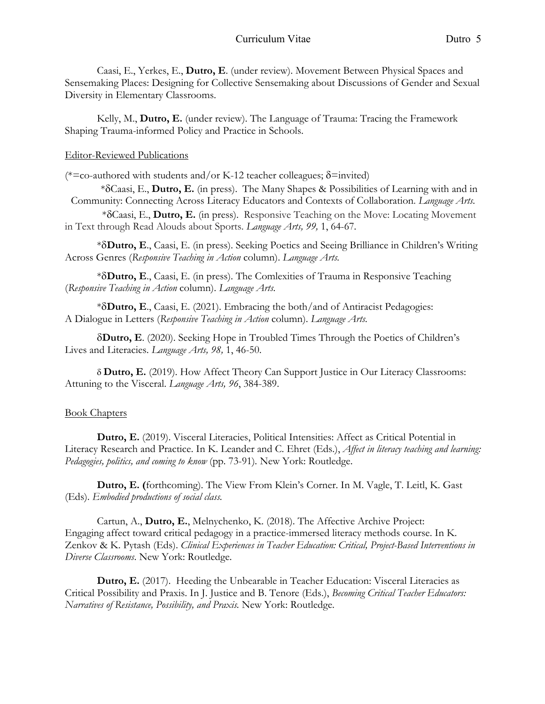Caasi, E., Yerkes, E., **Dutro, E**. (under review). Movement Between Physical Spaces and Sensemaking Places: Designing for Collective Sensemaking about Discussions of Gender and Sexual Diversity in Elementary Classrooms.

Kelly, M., **Dutro, E.** (under review). The Language of Trauma: Tracing the Framework Shaping Trauma-informed Policy and Practice in Schools.

#### Editor-Reviewed Publications

(\*=co-authored with students and/or K-12 teacher colleagues;  $\delta$ =invited)

\*dCaasi, E., **Dutro, E.** (in press). The Many Shapes & Possibilities of Learning with and in Community: Connecting Across Literacy Educators and Contexts of Collaboration. *Language Arts.*

\*dCaasi, E., **Dutro, E.** (in press). Responsive Teaching on the Move: Locating Movement in Text through Read Alouds about Sports. *Language Arts, 99,* 1, 64-67*.*

\*d**Dutro, E**., Caasi, E. (in press). Seeking Poetics and Seeing Brilliance in Children's Writing Across Genres (*Responsive Teaching in Action* column). *Language Arts.*

\*d**Dutro, E**., Caasi, E. (in press). The Comlexities of Trauma in Responsive Teaching (*Responsive Teaching in Action* column). *Language Arts.*

\*d**Dutro, E**., Caasi, E. (2021). Embracing the both/and of Antiracist Pedagogies: A Dialogue in Letters (*Responsive Teaching in Action* column). *Language Arts.*

d**Dutro, E**. (2020). Seeking Hope in Troubled Times Through the Poetics of Children's Lives and Literacies. *Language Arts, 98,* 1, 46-50.

d **Dutro, E.** (2019). How Affect Theory Can Support Justice in Our Literacy Classrooms: Attuning to the Visceral. *Language Arts, 96*, 384-389.

## Book Chapters

**Dutro, E.** (2019). Visceral Literacies, Political Intensities: Affect as Critical Potential in Literacy Research and Practice. In K. Leander and C. Ehret (Eds.), *Affect in literacy teaching and learning: Pedagogies, politics, and coming to know* (pp. 73-91)*.* New York: Routledge.

**Dutro, E. (**forthcoming). The View From Klein's Corner. In M. Vagle, T. Leitl, K. Gast (Eds). *Embodied productions of social class.* 

Cartun, A., **Dutro, E.**, Melnychenko, K. (2018). The Affective Archive Project: Engaging affect toward critical pedagogy in a practice-immersed literacy methods course. In K. Zenkov & K. Pytash (Eds). *Clinical Experiences in Teacher Education: Critical, Project-Based Interventions in Diverse Classrooms*. New York: Routledge.

**Dutro, E.** (2017). Heeding the Unbearable in Teacher Education: Visceral Literacies as Critical Possibility and Praxis. In J. Justice and B. Tenore (Eds.), *Becoming Critical Teacher Educators: Narratives of Resistance, Possibility, and Praxis.* New York: Routledge.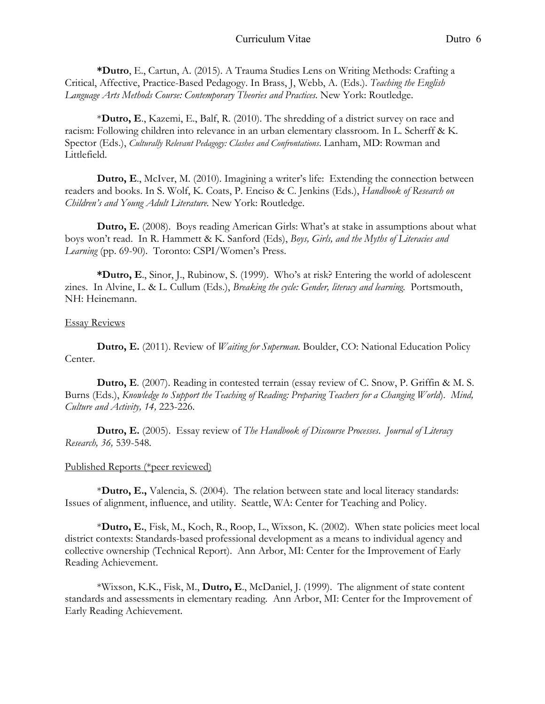**\*Dutro**, E., Cartun, A. (2015). A Trauma Studies Lens on Writing Methods: Crafting a Critical, Affective, Practice-Based Pedagogy. In Brass, J, Webb, A. (Eds.). *Teaching the English Language Arts Methods Course: Contemporary Theories and Practices.* New York: Routledge.

\***Dutro, E**., Kazemi, E., Balf, R. (2010). The shredding of a district survey on race and racism: Following children into relevance in an urban elementary classroom. In L. Scherff & K. Spector (Eds.), *Culturally Relevant Pedagogy: Clashes and Confrontations*. Lanham, MD: Rowman and Littlefield.

**Dutro, E**., McIver, M. (2010). Imagining a writer's life: Extending the connection between readers and books. In S. Wolf, K. Coats, P. Enciso & C. Jenkins (Eds.), *Handbook of Research on Children's and Young Adult Literature.* New York: Routledge.

**Dutro, E.** (2008). Boys reading American Girls: What's at stake in assumptions about what boys won't read. In R. Hammett & K. Sanford (Eds), *Boys, Girls, and the Myths of Literacies and Learning* (pp. 69-90)*.* Toronto: CSPI/Women's Press.

**\*Dutro, E**., Sinor, J., Rubinow, S. (1999). Who's at risk? Entering the world of adolescent zines. In Alvine, L. & L. Cullum (Eds.), *Breaking the cycle: Gender, literacy and learning.* Portsmouth, NH: Heinemann.

## Essay Reviews

**Dutro, E.** (2011). Review of *Waiting for Superman.* Boulder, CO: National Education Policy Center.

**Dutro, E**. (2007). Reading in contested terrain (essay review of C. Snow, P. Griffin & M. S. Burns (Eds.), *Knowledge to Support the Teaching of Reading: Preparing Teachers for a Changing World*)*. Mind, Culture and Activity, 14,* 223-226.

**Dutro, E.** (2005). Essay review of *The Handbook of Discourse Processes*. *Journal of Literacy Research, 36,* 539-548*.*

#### Published Reports (\*peer reviewed)

\***Dutro, E.,** Valencia, S. (2004). The relation between state and local literacy standards: Issues of alignment, influence, and utility. Seattle, WA: Center for Teaching and Policy.

\***Dutro, E.**, Fisk, M., Koch, R., Roop, L., Wixson, K. (2002). When state policies meet local district contexts: Standards-based professional development as a means to individual agency and collective ownership (Technical Report). Ann Arbor, MI: Center for the Improvement of Early Reading Achievement.

\*Wixson, K.K., Fisk, M., **Dutro, E**., McDaniel, J. (1999). The alignment of state content standards and assessments in elementary reading. Ann Arbor, MI: Center for the Improvement of Early Reading Achievement.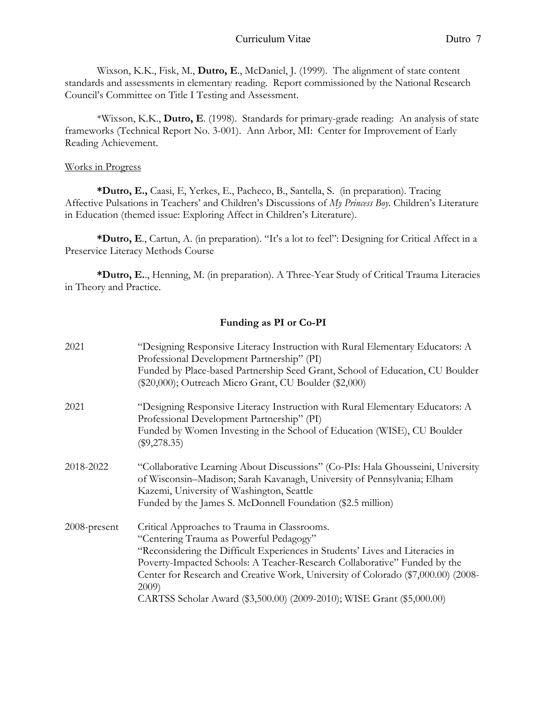Wixson, K.K., Fisk, M., **Dutro, E**., McDaniel, J. (1999). The alignment of state content standards and assessments in elementary reading. Report commissioned by the National Research Council's Committee on Title I Testing and Assessment.

\*Wixson, K.K., **Dutro, E**. (1998). Standards for primary-grade reading: An analysis of state frameworks (Technical Report No. 3-001). Ann Arbor, MI: Center for Improvement of Early Reading Achievement.

#### Works in Progress

**\*Dutro, E.,** Caasi, E, Yerkes, E., Pacheco, B., Santella, S. (in preparation). Tracing Affective Pulsations in Teachers' and Children's Discussions of *My Princess Boy.* Children's Literature in Education (themed issue: Exploring Affect in Children's Literature).

**\*Dutro, E**., Cartun, A. (in preparation). "It's a lot to feel": Designing for Critical Affect in a Preservice Literacy Methods Course

**\*Dutro, E.**., Henning, M. (in preparation). A Three-Year Study of Critical Trauma Literacies in Theory and Practice.

## **Funding as PI or Co-PI**

| 2021         | "Designing Responsive Literacy Instruction with Rural Elementary Educators: A<br>Professional Development Partnership" (PI)<br>Funded by Place-based Partnership Seed Grant, School of Education, CU Boulder |
|--------------|--------------------------------------------------------------------------------------------------------------------------------------------------------------------------------------------------------------|
|              | (\$20,000); Outreach Micro Grant, CU Boulder (\$2,000)                                                                                                                                                       |
| 2021         | "Designing Responsive Literacy Instruction with Rural Elementary Educators: A<br>Professional Development Partnership" (PI)                                                                                  |
|              | Funded by Women Investing in the School of Education (WISE), CU Boulder<br>$(\$9,278.35)$                                                                                                                    |
| 2018-2022    | "Collaborative Learning About Discussions" (Co-PIs: Hala Ghousseini, University<br>of Wisconsin-Madison; Sarah Kavanagh, University of Pennsylvania; Elham<br>Kazemi, University of Washington, Seattle      |
|              | Funded by the James S. McDonnell Foundation (\$2.5 million)                                                                                                                                                  |
| 2008-present | Critical Approaches to Trauma in Classrooms.<br>"Centering Trauma as Powerful Pedagogy"<br>"Reconsidering the Difficult Experiences in Students' Lives and Literacies in                                     |
|              | Poverty-Impacted Schools: A Teacher-Research Collaborative" Funded by the<br>Center for Research and Creative Work, University of Colorado (\$7,000.00) (2008-<br>2009)                                      |
|              | CARTSS Scholar Award (\$3,500.00) (2009-2010); WISE Grant (\$5,000.00)                                                                                                                                       |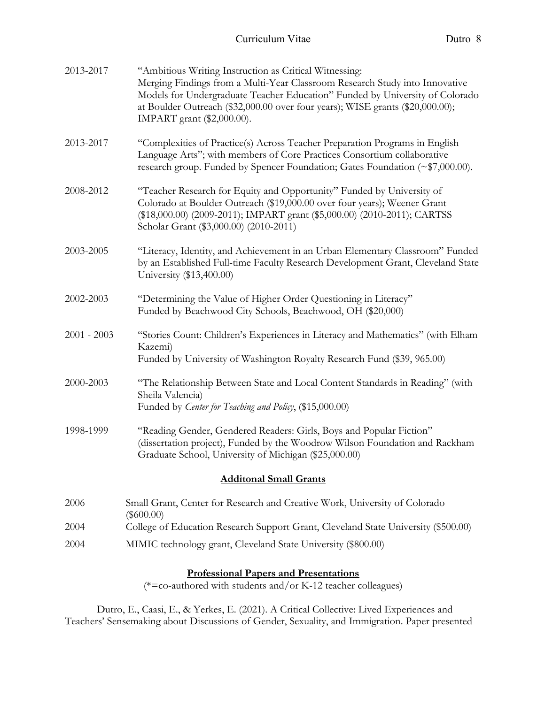## Curriculum Vitae Dutro 8

| 2013-2017                     | "Ambitious Writing Instruction as Critical Witnessing:<br>Merging Findings from a Multi-Year Classroom Research Study into Innovative<br>Models for Undergraduate Teacher Education" Funded by University of Colorado<br>at Boulder Outreach (\$32,000.00 over four years); WISE grants (\$20,000.00);<br>IMPART grant (\$2,000.00). |  |
|-------------------------------|--------------------------------------------------------------------------------------------------------------------------------------------------------------------------------------------------------------------------------------------------------------------------------------------------------------------------------------|--|
| 2013-2017                     | "Complexities of Practice(s) Across Teacher Preparation Programs in English<br>Language Arts"; with members of Core Practices Consortium collaborative<br>research group. Funded by Spencer Foundation; Gates Foundation (~\$7,000.00).                                                                                              |  |
| 2008-2012                     | "Teacher Research for Equity and Opportunity" Funded by University of<br>Colorado at Boulder Outreach (\$19,000.00 over four years); Weener Grant<br>(\$18,000.00) (2009-2011); IMPART grant (\$5,000.00) (2010-2011); CARTSS<br>Scholar Grant (\$3,000.00) (2010-2011)                                                              |  |
| 2003-2005                     | "Literacy, Identity, and Achievement in an Urban Elementary Classroom" Funded<br>by an Established Full-time Faculty Research Development Grant, Cleveland State<br>University (\$13,400.00)                                                                                                                                         |  |
| 2002-2003                     | "Determining the Value of Higher Order Questioning in Literacy"<br>Funded by Beachwood City Schools, Beachwood, OH (\$20,000)                                                                                                                                                                                                        |  |
| $2001 - 2003$                 | "Stories Count: Children's Experiences in Literacy and Mathematics" (with Elham<br>Kazemi)<br>Funded by University of Washington Royalty Research Fund (\$39, 965.00)                                                                                                                                                                |  |
| 2000-2003                     | "The Relationship Between State and Local Content Standards in Reading" (with<br>Sheila Valencia)<br>Funded by Center for Teaching and Policy, (\$15,000.00)                                                                                                                                                                         |  |
| 1998-1999                     | "Reading Gender, Gendered Readers: Girls, Boys and Popular Fiction"<br>(dissertation project), Funded by the Woodrow Wilson Foundation and Rackham<br>Graduate School, University of Michigan (\$25,000.00)                                                                                                                          |  |
| <b>Additonal Small Grants</b> |                                                                                                                                                                                                                                                                                                                                      |  |
| 2006                          | Small Grant, Center for Research and Creative Work, University of Colorado<br>$(\$600.00)$                                                                                                                                                                                                                                           |  |
| 2004                          | College of Education Research Support Grant, Cleveland State University (\$500.00)                                                                                                                                                                                                                                                   |  |
| 2004                          | MIMIC technology grant, Cleveland State University (\$800.00)                                                                                                                                                                                                                                                                        |  |
|                               | <b>Professional Papers and Presentations</b>                                                                                                                                                                                                                                                                                         |  |

(\*=co-authored with students and/or K-12 teacher colleagues)

Dutro, E., Caasi, E., & Yerkes, E. (2021). A Critical Collective: Lived Experiences and Teachers' Sensemaking about Discussions of Gender, Sexuality, and Immigration. Paper presented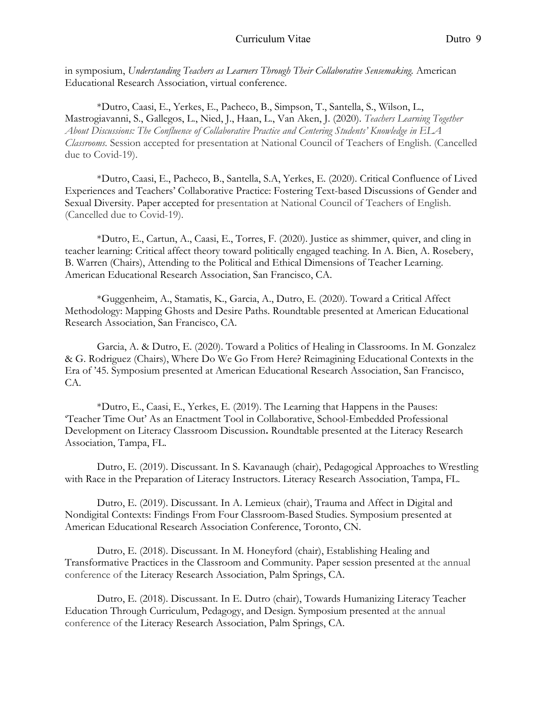in symposium, *Understanding Teachers as Learners Through Their Collaborative Sensemaking*. American Educational Research Association, virtual conference.

\*Dutro, Caasi, E., Yerkes, E., Pacheco, B., Simpson, T., Santella, S., Wilson, L., Mastrogiavanni, S., Gallegos, L., Nied, J., Haan, L., Van Aken, J. (2020). *Teachers Learning Together About Discussions: The Confluence of Collaborative Practice and Centering Students' Knowledge in ELA Classrooms.* Session accepted for presentation at National Council of Teachers of English. (Cancelled due to Covid-19).

\*Dutro, Caasi, E., Pacheco, B., Santella, S.A, Yerkes, E. (2020). Critical Confluence of Lived Experiences and Teachers' Collaborative Practice: Fostering Text-based Discussions of Gender and Sexual Diversity. Paper accepted for presentation at National Council of Teachers of English. (Cancelled due to Covid-19).

\*Dutro, E., Cartun, A., Caasi, E., Torres, F. (2020). Justice as shimmer, quiver, and cling in teacher learning: Critical affect theory toward politically engaged teaching. In A. Bien, A. Rosebery, B. Warren (Chairs), Attending to the Political and Ethical Dimensions of Teacher Learning. American Educational Research Association, San Francisco, CA.

\*Guggenheim, A., Stamatis, K., Garcia, A., Dutro, E. (2020). Toward a Critical Affect Methodology: Mapping Ghosts and Desire Paths. Roundtable presented at American Educational Research Association, San Francisco, CA.

Garcia, A. & Dutro, E. (2020). Toward a Politics of Healing in Classrooms. In M. Gonzalez & G. Rodriguez (Chairs), Where Do We Go From Here? Reimagining Educational Contexts in the Era of '45. Symposium presented at American Educational Research Association, San Francisco, CA.

\*Dutro, E., Caasi, E., Yerkes, E. (2019). The Learning that Happens in the Pauses: 'Teacher Time Out' As an Enactment Tool in Collaborative, School-Embedded Professional Development on Literacy Classroom Discussion**.** Roundtable presented at the Literacy Research Association, Tampa, FL.

Dutro, E. (2019). Discussant. In S. Kavanaugh (chair), Pedagogical Approaches to Wrestling with Race in the Preparation of Literacy Instructors. Literacy Research Association, Tampa, FL.

Dutro, E. (2019). Discussant. In A. Lemieux (chair), Trauma and Affect in Digital and Nondigital Contexts: Findings From Four Classroom-Based Studies. Symposium presented at American Educational Research Association Conference, Toronto, CN.

Dutro, E. (2018). Discussant. In M. Honeyford (chair), Establishing Healing and Transformative Practices in the Classroom and Community. Paper session presented at the annual conference of the Literacy Research Association, Palm Springs, CA.

Dutro, E. (2018). Discussant. In E. Dutro (chair), Towards Humanizing Literacy Teacher Education Through Curriculum, Pedagogy, and Design. Symposium presented at the annual conference of the Literacy Research Association, Palm Springs, CA.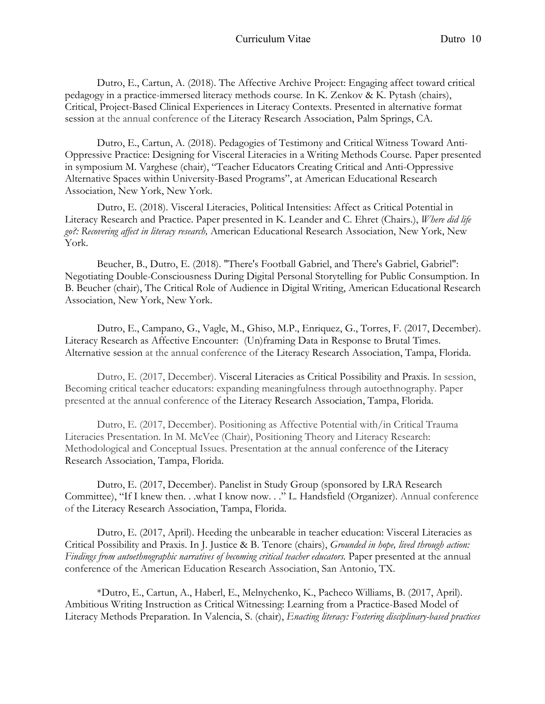Dutro, E., Cartun, A. (2018). The Affective Archive Project: Engaging affect toward critical pedagogy in a practice-immersed literacy methods course. In K. Zenkov & K. Pytash (chairs), Critical, Project-Based Clinical Experiences in Literacy Contexts. Presented in alternative format session at the annual conference of the Literacy Research Association, Palm Springs, CA.

Dutro, E., Cartun, A. (2018). Pedagogies of Testimony and Critical Witness Toward Anti-Oppressive Practice: Designing for Visceral Literacies in a Writing Methods Course. Paper presented in symposium M. Varghese (chair), "Teacher Educators Creating Critical and Anti-Oppressive Alternative Spaces within University-Based Programs", at American Educational Research Association, New York, New York.

Dutro, E. (2018). Visceral Literacies, Political Intensities: Affect as Critical Potential in Literacy Research and Practice. Paper presented in K. Leander and C. Ehret (Chairs.), *Where did life go?: Recovering affect in literacy research,* American Educational Research Association, New York, New York.

Beucher, B., Dutro, E. (2018). "There's Football Gabriel, and There's Gabriel, Gabriel": Negotiating Double-Consciousness During Digital Personal Storytelling for Public Consumption. In B. Beucher (chair), The Critical Role of Audience in Digital Writing, American Educational Research Association, New York, New York.

Dutro, E., Campano, G., Vagle, M., Ghiso, M.P., Enriquez, G., Torres, F. (2017, December). Literacy Research as Affective Encounter: (Un)framing Data in Response to Brutal Times. Alternative session at the annual conference of the Literacy Research Association, Tampa, Florida.

Dutro, E. (2017, December). Visceral Literacies as Critical Possibility and Praxis. In session, Becoming critical teacher educators: expanding meaningfulness through autoethnography. Paper presented at the annual conference of the Literacy Research Association, Tampa, Florida.

Dutro, E. (2017, December). Positioning as Affective Potential with/in Critical Trauma Literacies Presentation. In M. McVee (Chair), Positioning Theory and Literacy Research: Methodological and Conceptual Issues. Presentation at the annual conference of the Literacy Research Association, Tampa, Florida.

Dutro, E. (2017, December). Panelist in Study Group (sponsored by LRA Research Committee), "If I knew then. . .what I know now. . ." L. Handsfield (Organizer). Annual conference of the Literacy Research Association, Tampa, Florida.

Dutro, E. (2017, April). Heeding the unbearable in teacher education: Visceral Literacies as Critical Possibility and Praxis. In J. Justice & B. Tenore (chairs), *Grounded in hope, lived through action: Findings from autoethnographic narratives of becoming critical teacher educators.* Paper presented at the annual conference of the American Education Research Association, San Antonio, TX.

\*Dutro, E., Cartun, A., Haberl, E., Melnychenko, K., Pacheco Williams, B. (2017, April). Ambitious Writing Instruction as Critical Witnessing: Learning from a Practice-Based Model of Literacy Methods Preparation. In Valencia, S. (chair), *Enacting literacy: Fostering disciplinary-based practices*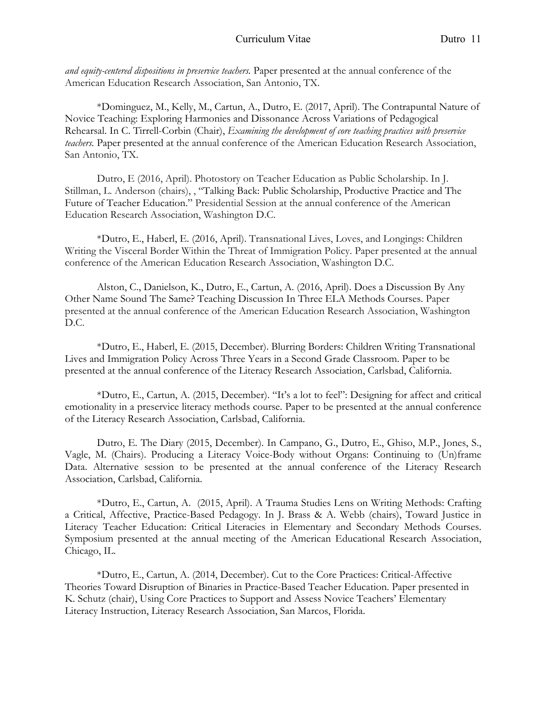*and equity-centered dispositions in preservice teachers.* Paper presented at the annual conference of the American Education Research Association, San Antonio, TX.

\*Dominguez, M., Kelly, M., Cartun, A., Dutro, E. (2017, April). The Contrapuntal Nature of Novice Teaching: Exploring Harmonies and Dissonance Across Variations of Pedagogical Rehearsal. In C. Tirrell-Corbin (Chair), *Examining the development of core teaching practices with preservice teachers.* Paper presented at the annual conference of the American Education Research Association, San Antonio, TX.

Dutro, E (2016, April). Photostory on Teacher Education as Public Scholarship. In J. Stillman, L. Anderson (chairs), , "Talking Back: Public Scholarship, Productive Practice and The Future of Teacher Education." Presidential Session at the annual conference of the American Education Research Association, Washington D.C.

\*Dutro, E., Haberl, E. (2016, April). Transnational Lives, Loves, and Longings: Children Writing the Visceral Border Within the Threat of Immigration Policy. Paper presented at the annual conference of the American Education Research Association, Washington D.C.

Alston, C., Danielson, K., Dutro, E., Cartun, A. (2016, April). Does a Discussion By Any Other Name Sound The Same? Teaching Discussion In Three ELA Methods Courses. Paper presented at the annual conference of the American Education Research Association, Washington D.C.

\*Dutro, E., Haberl, E. (2015, December). Blurring Borders: Children Writing Transnational Lives and Immigration Policy Across Three Years in a Second Grade Classroom. Paper to be presented at the annual conference of the Literacy Research Association, Carlsbad, California.

\*Dutro, E., Cartun, A. (2015, December). "It's a lot to feel": Designing for affect and critical emotionality in a preservice literacy methods course. Paper to be presented at the annual conference of the Literacy Research Association, Carlsbad, California.

Dutro, E. The Diary (2015, December). In Campano, G., Dutro, E., Ghiso, M.P., Jones, S., Vagle, M. (Chairs). Producing a Literacy Voice-Body without Organs: Continuing to (Un)frame Data. Alternative session to be presented at the annual conference of the Literacy Research Association, Carlsbad, California.

\*Dutro, E., Cartun, A. (2015, April). A Trauma Studies Lens on Writing Methods: Crafting a Critical, Affective, Practice-Based Pedagogy. In J. Brass & A. Webb (chairs), Toward Justice in Literacy Teacher Education: Critical Literacies in Elementary and Secondary Methods Courses. Symposium presented at the annual meeting of the American Educational Research Association, Chicago, IL.

\*Dutro, E., Cartun, A. (2014, December). Cut to the Core Practices: Critical-Affective Theories Toward Disruption of Binaries in Practice-Based Teacher Education. Paper presented in K. Schutz (chair), Using Core Practices to Support and Assess Novice Teachers' Elementary Literacy Instruction, Literacy Research Association, San Marcos, Florida.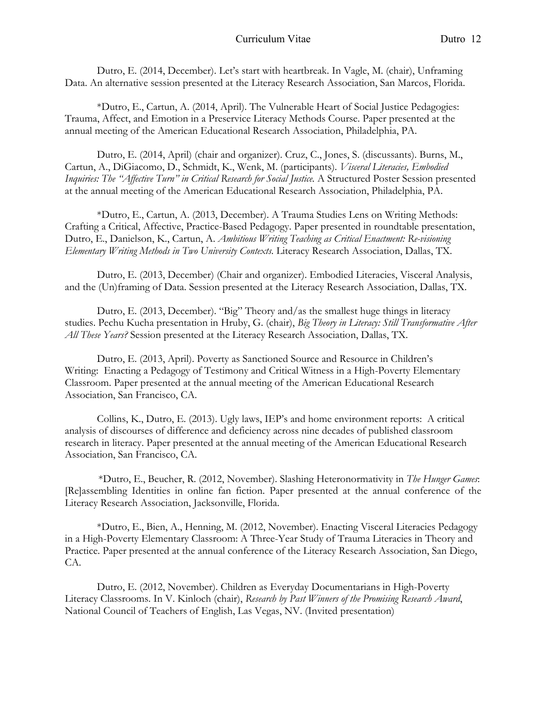Dutro, E. (2014, December). Let's start with heartbreak. In Vagle, M. (chair), Unframing Data. An alternative session presented at the Literacy Research Association, San Marcos, Florida.

\*Dutro, E., Cartun, A. (2014, April). The Vulnerable Heart of Social Justice Pedagogies: Trauma, Affect, and Emotion in a Preservice Literacy Methods Course. Paper presented at the annual meeting of the American Educational Research Association, Philadelphia, PA.

Dutro, E. (2014, April) (chair and organizer). Cruz, C., Jones, S. (discussants). Burns, M., Cartun, A., DiGiacomo, D., Schmidt, K., Wenk, M. (participants). *Visceral Literacies, Embodied Inquiries: The "Affective Turn" in Critical Research for Social Justice.* A Structured Poster Session presented at the annual meeting of the American Educational Research Association, Philadelphia, PA.

\*Dutro, E., Cartun, A. (2013, December). A Trauma Studies Lens on Writing Methods: Crafting a Critical, Affective, Practice-Based Pedagogy. Paper presented in roundtable presentation, Dutro, E., Danielson, K., Cartun, A. *Ambitious Writing Teaching as Critical Enactment: Re-visioning Elementary Writing Methods in Two University Contexts.* Literacy Research Association, Dallas, TX.

Dutro, E. (2013, December) (Chair and organizer). Embodied Literacies, Visceral Analysis, and the (Un)framing of Data. Session presented at the Literacy Research Association, Dallas, TX.

Dutro, E. (2013, December). "Big" Theory and/as the smallest huge things in literacy studies. Pechu Kucha presentation in Hruby, G. (chair), *Big Theory in Literacy: Still Transformative After All These Years?* Session presented at the Literacy Research Association, Dallas, TX.

Dutro, E. (2013, April). Poverty as Sanctioned Source and Resource in Children's Writing: Enacting a Pedagogy of Testimony and Critical Witness in a High-Poverty Elementary Classroom. Paper presented at the annual meeting of the American Educational Research Association, San Francisco, CA.

Collins, K., Dutro, E. (2013). Ugly laws, IEP's and home environment reports: A critical analysis of discourses of difference and deficiency across nine decades of published classroom research in literacy. Paper presented at the annual meeting of the American Educational Research Association, San Francisco, CA.

\*Dutro, E., Beucher, R. (2012, November). Slashing Heteronormativity in *The Hunger Games*: [Re]assembling Identities in online fan fiction. Paper presented at the annual conference of the Literacy Research Association, Jacksonville, Florida.

\*Dutro, E., Bien, A., Henning, M. (2012, November). Enacting Visceral Literacies Pedagogy in a High-Poverty Elementary Classroom: A Three-Year Study of Trauma Literacies in Theory and Practice. Paper presented at the annual conference of the Literacy Research Association, San Diego, CA.

Dutro, E. (2012, November). Children as Everyday Documentarians in High-Poverty Literacy Classrooms. In V. Kinloch (chair), *Research by Past Winners of the Promising Research Award*, National Council of Teachers of English, Las Vegas, NV. (Invited presentation)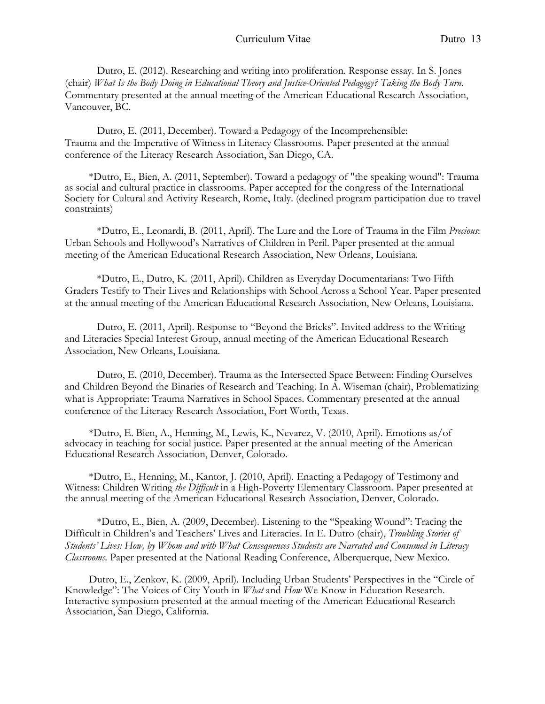Dutro, E. (2012). Researching and writing into proliferation. Response essay. In S. Jones (chair) *What Is the Body Doing in Educational Theory and Justice-Oriented Pedagogy? Taking the Body Turn.*  Commentary presented at the annual meeting of the American Educational Research Association, Vancouver, BC.

Dutro, E. (2011, December). Toward a Pedagogy of the Incomprehensible: Trauma and the Imperative of Witness in Literacy Classrooms. Paper presented at the annual conference of the Literacy Research Association, San Diego, CA.

\*Dutro, E., Bien, A. (2011, September). Toward a pedagogy of "the speaking wound": Trauma as social and cultural practice in classrooms. Paper accepted for the congress of the International Society for Cultural and Activity Research, Rome, Italy. (declined program participation due to travel constraints)

\*Dutro, E., Leonardi, B. (2011, April). The Lure and the Lore of Trauma in the Film *Precious*: Urban Schools and Hollywood's Narratives of Children in Peril. Paper presented at the annual meeting of the American Educational Research Association, New Orleans, Louisiana.

\*Dutro, E., Dutro, K. (2011, April). Children as Everyday Documentarians: Two Fifth Graders Testify to Their Lives and Relationships with School Across a School Year. Paper presented at the annual meeting of the American Educational Research Association, New Orleans, Louisiana.

Dutro, E. (2011, April). Response to "Beyond the Bricks". Invited address to the Writing and Literacies Special Interest Group, annual meeting of the American Educational Research Association, New Orleans, Louisiana.

Dutro, E. (2010, December). Trauma as the Intersected Space Between: Finding Ourselves and Children Beyond the Binaries of Research and Teaching. In A. Wiseman (chair), Problematizing what is Appropriate: Trauma Narratives in School Spaces. Commentary presented at the annual conference of the Literacy Research Association, Fort Worth, Texas.

\*Dutro, E. Bien, A., Henning, M., Lewis, K., Nevarez, V. (2010, April). Emotions as/of advocacy in teaching for social justice. Paper presented at the annual meeting of the American Educational Research Association, Denver, Colorado.

\*Dutro, E., Henning, M., Kantor, J. (2010, April). Enacting a Pedagogy of Testimony and Witness: Children Writing *the Difficult* in a High-Poverty Elementary Classroom. Paper presented at the annual meeting of the American Educational Research Association, Denver, Colorado.

\*Dutro, E., Bien, A. (2009, December). Listening to the "Speaking Wound": Tracing the Difficult in Children's and Teachers' Lives and Literacies. In E. Dutro (chair), *Troubling Stories of Students' Lives: How, by Whom and with What Consequences Students are Narrated and Consumed in Literacy Classrooms.* Paper presented at the National Reading Conference, Alberquerque, New Mexico.

Dutro, E., Zenkov, K. (2009, April). Including Urban Students' Perspectives in the "Circle of Knowledge": The Voices of City Youth in *What* and *How* We Know in Education Research. Interactive symposium presented at the annual meeting of the American Educational Research Association, San Diego, California.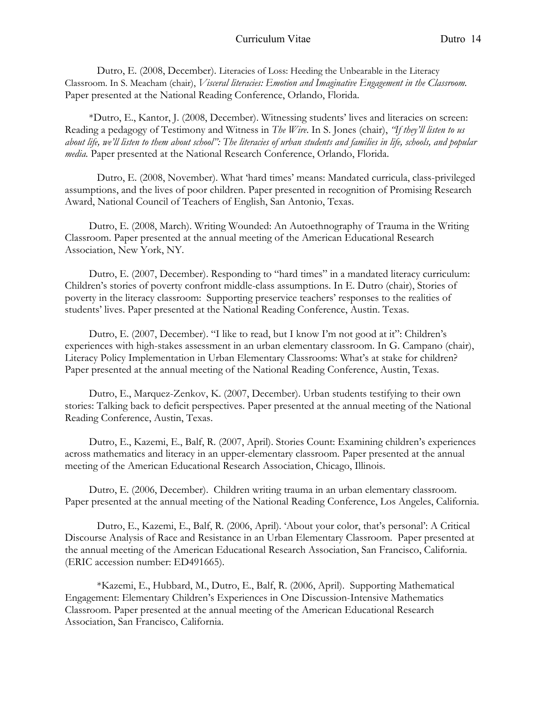Dutro, E. (2008, December). Literacies of Loss: Heeding the Unbearable in the Literacy Classroom. In S. Meacham (chair), *Visceral literacies: Emotion and Imaginative Engagement in the Classroom.* Paper presented at the National Reading Conference, Orlando, Florida.

\*Dutro, E., Kantor, J. (2008, December). Witnessing students' lives and literacies on screen: Reading a pedagogy of Testimony and Witness in *The Wire*. In S. Jones (chair), *"If they'll listen to us about life, we'll listen to them about school": The literacies of urban students and families in life, schools, and popular media.* Paper presented at the National Research Conference, Orlando, Florida.

Dutro, E. (2008, November). What 'hard times' means: Mandated curricula, class-privileged assumptions, and the lives of poor children. Paper presented in recognition of Promising Research Award, National Council of Teachers of English, San Antonio, Texas.

Dutro, E. (2008, March). Writing Wounded: An Autoethnography of Trauma in the Writing Classroom. Paper presented at the annual meeting of the American Educational Research Association, New York, NY.

Dutro, E. (2007, December). Responding to "hard times" in a mandated literacy curriculum: Children's stories of poverty confront middle-class assumptions. In E. Dutro (chair), Stories of poverty in the literacy classroom: Supporting preservice teachers' responses to the realities of students' lives. Paper presented at the National Reading Conference, Austin. Texas.

Dutro, E. (2007, December). "I like to read, but I know I'm not good at it": Children's experiences with high-stakes assessment in an urban elementary classroom. In G. Campano (chair), Literacy Policy Implementation in Urban Elementary Classrooms: What's at stake for children? Paper presented at the annual meeting of the National Reading Conference, Austin, Texas.

Dutro, E., Marquez-Zenkov, K. (2007, December). Urban students testifying to their own stories: Talking back to deficit perspectives. Paper presented at the annual meeting of the National Reading Conference, Austin, Texas.

Dutro, E., Kazemi, E., Balf, R. (2007, April). Stories Count: Examining children's experiences across mathematics and literacy in an upper-elementary classroom. Paper presented at the annual meeting of the American Educational Research Association, Chicago, Illinois.

Dutro, E. (2006, December). Children writing trauma in an urban elementary classroom. Paper presented at the annual meeting of the National Reading Conference, Los Angeles, California.

Dutro, E., Kazemi, E., Balf, R. (2006, April). 'About your color, that's personal': A Critical Discourse Analysis of Race and Resistance in an Urban Elementary Classroom. Paper presented at the annual meeting of the American Educational Research Association, San Francisco, California. (ERIC accession number: ED491665).

\*Kazemi, E., Hubbard, M., Dutro, E., Balf, R. (2006, April). Supporting Mathematical Engagement: Elementary Children's Experiences in One Discussion-Intensive Mathematics Classroom. Paper presented at the annual meeting of the American Educational Research Association, San Francisco, California.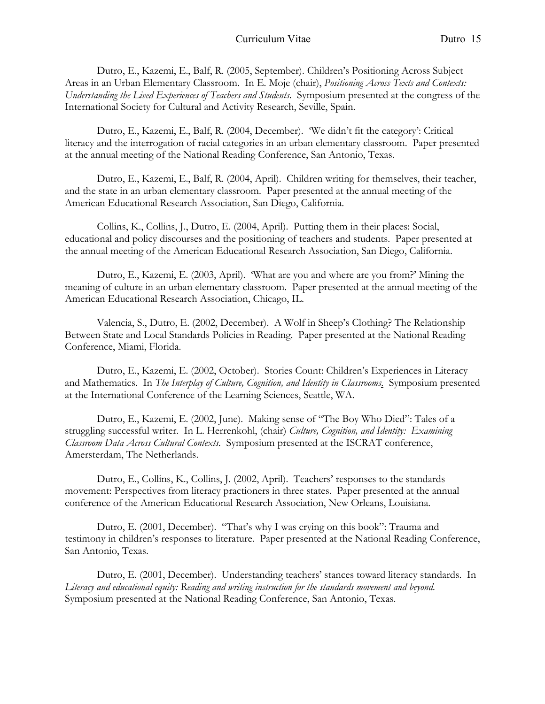Dutro, E., Kazemi, E., Balf, R. (2005, September). Children's Positioning Across Subject Areas in an Urban Elementary Classroom. In E. Moje (chair), *Positioning Across Texts and Contexts: Understanding the Lived Experiences of Teachers and Students*. Symposium presented at the congress of the International Society for Cultural and Activity Research, Seville, Spain.

Dutro, E., Kazemi, E., Balf, R. (2004, December). 'We didn't fit the category': Critical literacy and the interrogation of racial categories in an urban elementary classroom. Paper presented at the annual meeting of the National Reading Conference, San Antonio, Texas.

Dutro, E., Kazemi, E., Balf, R. (2004, April). Children writing for themselves, their teacher, and the state in an urban elementary classroom. Paper presented at the annual meeting of the American Educational Research Association, San Diego, California.

Collins, K., Collins, J., Dutro, E. (2004, April). Putting them in their places: Social, educational and policy discourses and the positioning of teachers and students. Paper presented at the annual meeting of the American Educational Research Association, San Diego, California.

Dutro, E., Kazemi, E. (2003, April). 'What are you and where are you from?' Mining the meaning of culture in an urban elementary classroom. Paper presented at the annual meeting of the American Educational Research Association, Chicago, IL.

Valencia, S., Dutro, E. (2002, December). A Wolf in Sheep's Clothing? The Relationship Between State and Local Standards Policies in Reading. Paper presented at the National Reading Conference, Miami, Florida.

Dutro, E., Kazemi, E. (2002, October). Stories Count: Children's Experiences in Literacy and Mathematics. In *The Interplay of Culture, Cognition, and Identity in Classrooms*. Symposium presented at the International Conference of the Learning Sciences, Seattle, WA.

Dutro, E., Kazemi, E. (2002, June). Making sense of "The Boy Who Died": Tales of a struggling successful writer. In L. Herrenkohl, (chair) *Culture, Cognition, and Identity: Examining Classroom Data Across Cultural Contexts.* Symposium presented at the ISCRAT conference, Amersterdam, The Netherlands.

Dutro, E., Collins, K., Collins, J. (2002, April). Teachers' responses to the standards movement: Perspectives from literacy practioners in three states. Paper presented at the annual conference of the American Educational Research Association, New Orleans, Louisiana.

Dutro, E. (2001, December). "That's why I was crying on this book": Trauma and testimony in children's responses to literature. Paper presented at the National Reading Conference, San Antonio, Texas.

Dutro, E. (2001, December). Understanding teachers' stances toward literacy standards. In *Literacy and educational equity: Reading and writing instruction for the standards movement and beyond.* Symposium presented at the National Reading Conference, San Antonio, Texas.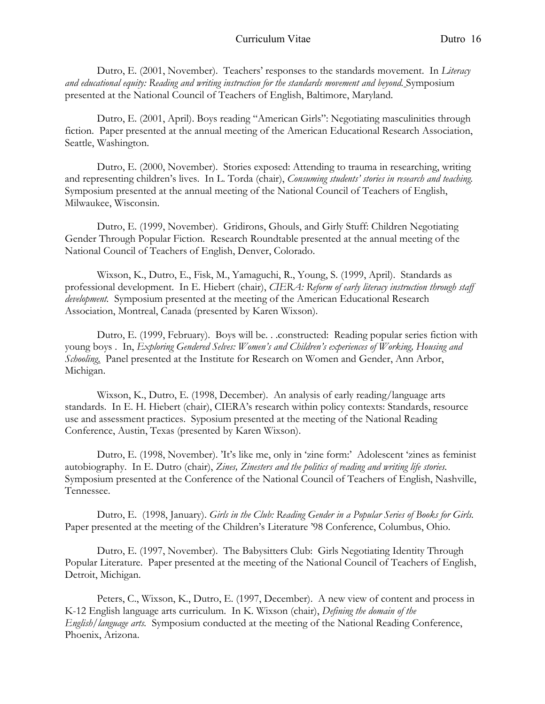Dutro, E. (2001, November). Teachers' responses to the standards movement. In *Literacy and educational equity: Reading and writing instruction for the standards movement and beyond.* Symposium presented at the National Council of Teachers of English, Baltimore, Maryland.

Dutro, E. (2001, April). Boys reading "American Girls": Negotiating masculinities through fiction. Paper presented at the annual meeting of the American Educational Research Association, Seattle, Washington.

Dutro, E. (2000, November). Stories exposed: Attending to trauma in researching, writing and representing children's lives. In L. Torda (chair), *Consuming students' stories in research and teaching.* Symposium presented at the annual meeting of the National Council of Teachers of English, Milwaukee, Wisconsin.

Dutro, E. (1999, November). Gridirons, Ghouls, and Girly Stuff: Children Negotiating Gender Through Popular Fiction. Research Roundtable presented at the annual meeting of the National Council of Teachers of English, Denver, Colorado.

Wixson, K., Dutro, E., Fisk, M., Yamaguchi, R., Young, S. (1999, April). Standards as professional development. In E. Hiebert (chair), *CIERA: Reform of early literacy instruction through staff development.* Symposium presented at the meeting of the American Educational Research Association, Montreal, Canada (presented by Karen Wixson).

Dutro, E. (1999, February). Boys will be. . .constructed: Reading popular series fiction with young boys . In, *Exploring Gendered Selves: Women's and Children's experiences of Working, Housing and Schooling*. Panel presented at the Institute for Research on Women and Gender, Ann Arbor, Michigan.

Wixson, K., Dutro, E. (1998, December). An analysis of early reading/language arts standards. In E. H. Hiebert (chair), CIERA's research within policy contexts: Standards, resource use and assessment practices. Syposium presented at the meeting of the National Reading Conference, Austin, Texas (presented by Karen Wixson).

Dutro, E. (1998, November). 'It's like me, only in 'zine form:' Adolescent 'zines as feminist autobiography. In E. Dutro (chair), *Zines, Zinesters and the politics of reading and writing life stories.*  Symposium presented at the Conference of the National Council of Teachers of English, Nashville, Tennessee.

Dutro, E. (1998, January). *Girls in the Club: Reading Gender in a Popular Series of Books for Girls.* Paper presented at the meeting of the Children's Literature '98 Conference, Columbus, Ohio.

Dutro, E. (1997, November). The Babysitters Club: Girls Negotiating Identity Through Popular Literature. Paper presented at the meeting of the National Council of Teachers of English, Detroit, Michigan.

Peters, C., Wixson, K., Dutro, E. (1997, December). A new view of content and process in K-12 English language arts curriculum. In K. Wixson (chair), *Defining the domain of the English/language arts.* Symposium conducted at the meeting of the National Reading Conference, Phoenix, Arizona.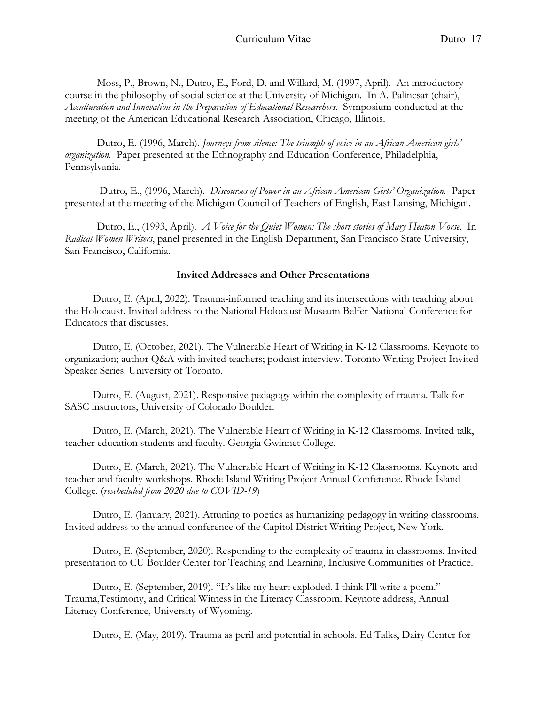Moss, P., Brown, N., Dutro, E., Ford, D. and Willard, M. (1997, April). An introductory course in the philosophy of social science at the University of Michigan. In A. Palincsar (chair), *Acculturation and Innovation in the Preparation of Educational Researchers*. Symposium conducted at the meeting of the American Educational Research Association, Chicago, Illinois.

Dutro, E. (1996, March). *Journeys from silence: The triumph of voice in an African American girls' organization.* Paper presented at the Ethnography and Education Conference, Philadelphia, Pennsylvania.

Dutro, E., (1996, March). *Discourses of Power in an African American Girls' Organization.* Paper presented at the meeting of the Michigan Council of Teachers of English, East Lansing, Michigan.

Dutro, E., (1993, April). *A Voice for the Quiet Women: The short stories of Mary Heaton Vorse.* In *Radical Women Writers*, panel presented in the English Department, San Francisco State University, San Francisco, California.

## **Invited Addresses and Other Presentations**

Dutro, E. (April, 2022). Trauma-informed teaching and its intersections with teaching about the Holocaust. Invited address to the National Holocaust Museum Belfer National Conference for Educators that discusses.

Dutro, E. (October, 2021). The Vulnerable Heart of Writing in K-12 Classrooms. Keynote to organization; author Q&A with invited teachers; podcast interview. Toronto Writing Project Invited Speaker Series. University of Toronto.

Dutro, E. (August, 2021). Responsive pedagogy within the complexity of trauma. Talk for SASC instructors, University of Colorado Boulder.

Dutro, E. (March, 2021). The Vulnerable Heart of Writing in K-12 Classrooms. Invited talk, teacher education students and faculty. Georgia Gwinnet College.

Dutro, E. (March, 2021). The Vulnerable Heart of Writing in K-12 Classrooms. Keynote and teacher and faculty workshops. Rhode Island Writing Project Annual Conference. Rhode Island College. (*rescheduled from 2020 due to COVID-19*)

Dutro, E. (January, 2021). Attuning to poetics as humanizing pedagogy in writing classrooms. Invited address to the annual conference of the Capitol District Writing Project, New York.

Dutro, E. (September, 2020). Responding to the complexity of trauma in classrooms. Invited presentation to CU Boulder Center for Teaching and Learning, Inclusive Communities of Practice.

Dutro, E. (September, 2019). "It's like my heart exploded. I think I'll write a poem." Trauma,Testimony, and Critical Witness in the Literacy Classroom. Keynote address, Annual Literacy Conference, University of Wyoming.

Dutro, E. (May, 2019). Trauma as peril and potential in schools. Ed Talks, Dairy Center for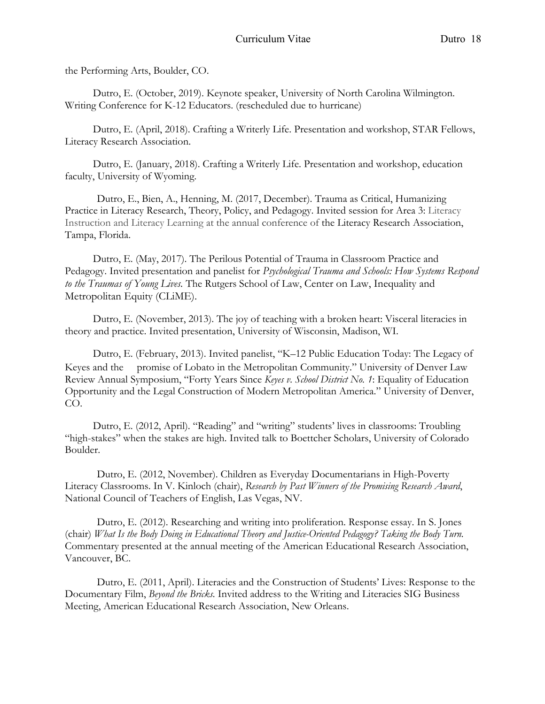the Performing Arts, Boulder, CO.

Dutro, E. (October, 2019). Keynote speaker, University of North Carolina Wilmington. Writing Conference for K-12 Educators. (rescheduled due to hurricane)

Dutro, E. (April, 2018). Crafting a Writerly Life. Presentation and workshop, STAR Fellows, Literacy Research Association.

Dutro, E. (January, 2018). Crafting a Writerly Life. Presentation and workshop, education faculty, University of Wyoming.

Dutro, E., Bien, A., Henning, M. (2017, December). Trauma as Critical, Humanizing Practice in Literacy Research, Theory, Policy, and Pedagogy. Invited session for Area 3: Literacy Instruction and Literacy Learning at the annual conference of the Literacy Research Association, Tampa, Florida.

Dutro, E. (May, 2017). The Perilous Potential of Trauma in Classroom Practice and Pedagogy. Invited presentation and panelist for *Psychological Trauma and Schools: How Systems Respond to the Traumas of Young Lives.* The Rutgers School of Law, Center on Law, Inequality and Metropolitan Equity (CLiME).

Dutro, E. (November, 2013). The joy of teaching with a broken heart: Visceral literacies in theory and practice. Invited presentation, University of Wisconsin, Madison, WI.

Dutro, E. (February, 2013). Invited panelist, "K–12 Public Education Today: The Legacy of Keyes and the promise of Lobato in the Metropolitan Community." University of Denver Law Review Annual Symposium, "Forty Years Since *Keyes v. School District No. 1*: Equality of Education Opportunity and the Legal Construction of Modern Metropolitan America." University of Denver, CO.

Dutro, E. (2012, April). "Reading" and "writing" students' lives in classrooms: Troubling "high-stakes" when the stakes are high*.* Invited talk to Boettcher Scholars, University of Colorado Boulder.

Dutro, E. (2012, November). Children as Everyday Documentarians in High-Poverty Literacy Classrooms. In V. Kinloch (chair), *Research by Past Winners of the Promising Research Award*, National Council of Teachers of English, Las Vegas, NV.

Dutro, E. (2012). Researching and writing into proliferation. Response essay. In S. Jones (chair) *What Is the Body Doing in Educational Theory and Justice-Oriented Pedagogy? Taking the Body Turn.*  Commentary presented at the annual meeting of the American Educational Research Association, Vancouver, BC.

Dutro, E. (2011, April). Literacies and the Construction of Students' Lives: Response to the Documentary Film, *Beyond the Bricks.* Invited address to the Writing and Literacies SIG Business Meeting, American Educational Research Association, New Orleans.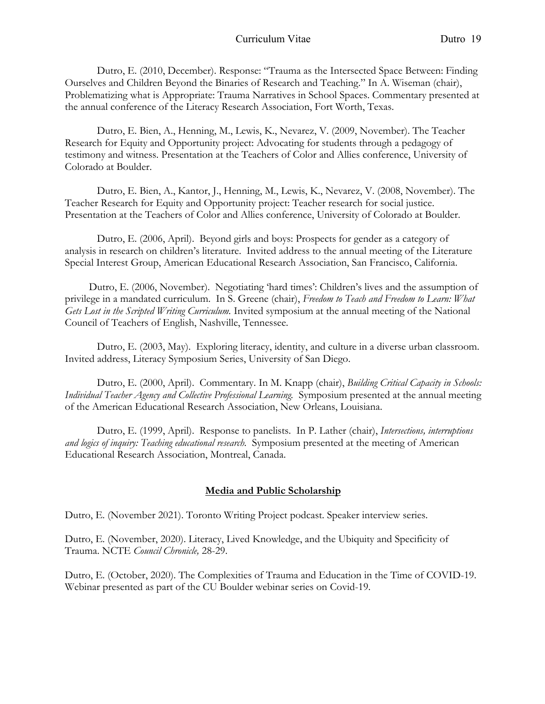#### Curriculum Vitae Dutro 19

Dutro, E. (2010, December). Response: "Trauma as the Intersected Space Between: Finding Ourselves and Children Beyond the Binaries of Research and Teaching." In A. Wiseman (chair), Problematizing what is Appropriate: Trauma Narratives in School Spaces. Commentary presented at the annual conference of the Literacy Research Association, Fort Worth, Texas.

Dutro, E. Bien, A., Henning, M., Lewis, K., Nevarez, V. (2009, November). The Teacher Research for Equity and Opportunity project: Advocating for students through a pedagogy of testimony and witness. Presentation at the Teachers of Color and Allies conference, University of Colorado at Boulder.

Dutro, E. Bien, A., Kantor, J., Henning, M., Lewis, K., Nevarez, V. (2008, November). The Teacher Research for Equity and Opportunity project: Teacher research for social justice. Presentation at the Teachers of Color and Allies conference, University of Colorado at Boulder.

Dutro, E. (2006, April). Beyond girls and boys: Prospects for gender as a category of analysis in research on children's literature. Invited address to the annual meeting of the Literature Special Interest Group, American Educational Research Association, San Francisco, California.

Dutro, E. (2006, November). Negotiating 'hard times': Children's lives and the assumption of privilege in a mandated curriculum. In S. Greene (chair), *Freedom to Teach and Freedom to Learn: What Gets Lost in the Scripted Writing Curriculum.* Invited symposium at the annual meeting of the National Council of Teachers of English, Nashville, Tennessee.

Dutro, E. (2003, May). Exploring literacy, identity, and culture in a diverse urban classroom. Invited address, Literacy Symposium Series, University of San Diego.

Dutro, E. (2000, April). Commentary. In M. Knapp (chair), *Building Critical Capacity in Schools: Individual Teacher Agency and Collective Professional Learning.* Symposium presented at the annual meeting of the American Educational Research Association, New Orleans, Louisiana.

Dutro, E. (1999, April). Response to panelists. In P. Lather (chair), *Intersections, interruptions and logics of inquiry: Teaching educational research.* Symposium presented at the meeting of American Educational Research Association, Montreal, Canada.

#### **Media and Public Scholarship**

Dutro, E. (November 2021). Toronto Writing Project podcast. Speaker interview series.

Dutro, E. (November, 2020). Literacy, Lived Knowledge, and the Ubiquity and Specificity of Trauma. NCTE *Council Chronicle,* 28-29.

Dutro, E. (October, 2020). The Complexities of Trauma and Education in the Time of COVID-19. Webinar presented as part of the CU Boulder webinar series on Covid-19.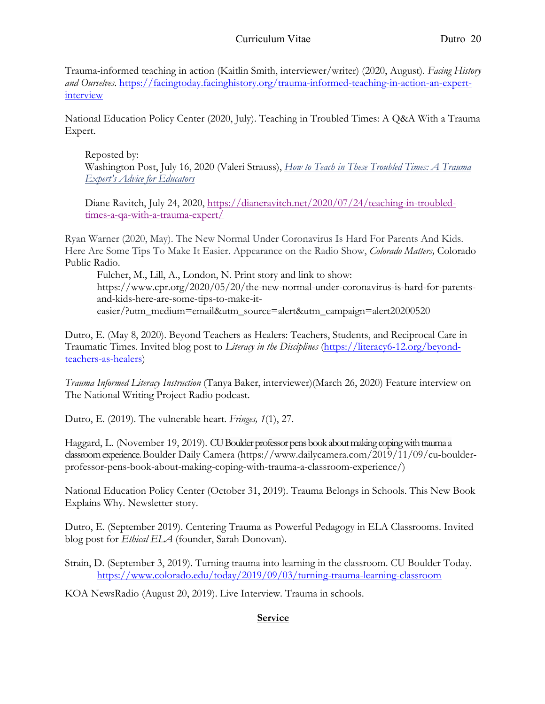Trauma-informed teaching in action (Kaitlin Smith, interviewer/writer) (2020, August). *Facing History and Ourselves*. https://facingtoday.facinghistory.org/trauma-informed-teaching-in-action-an-expertinterview

National Education Policy Center (2020, July). Teaching in Troubled Times: A Q&A With a Trauma Expert.

Reposted by: Washington Post, July 16, 2020 (Valeri Strauss), *How to Teach in These Troubled Times: A Trauma Expert's Advice for Educators*

Diane Ravitch, July 24, 2020, https://dianeravitch.net/2020/07/24/teaching-in-troubledtimes-a-qa-with-a-trauma-expert/

Ryan Warner (2020, May). The New Normal Under Coronavirus Is Hard For Parents And Kids. Here Are Some Tips To Make It Easier. Appearance on the Radio Show, *Colorado Matters,* Colorado Public Radio.

Fulcher, M., Lill, A., London, N. Print story and link to show: https://www.cpr.org/2020/05/20/the-new-normal-under-coronavirus-is-hard-for-parentsand-kids-here-are-some-tips-to-make-iteasier/?utm\_medium=email&utm\_source=alert&utm\_campaign=alert20200520

Dutro, E. (May 8, 2020). Beyond Teachers as Healers: Teachers, Students, and Reciprocal Care in Traumatic Times. Invited blog post to *Literacy in the Disciplines* (https://literacy6-12.org/beyondteachers-as-healers)

*Trauma Informed Literacy Instruction* (Tanya Baker, interviewer)(March 26, 2020) Feature interview on The National Writing Project Radio podcast.

Dutro, E. (2019). The vulnerable heart. *Fringes, 1*(1), 27.

Haggard, L. (November 19, 2019). CU Boulder professor pens book about making coping with trauma a classroom experience. Boulder Daily Camera (https://www.dailycamera.com/2019/11/09/cu-boulderprofessor-pens-book-about-making-coping-with-trauma-a-classroom-experience/)

National Education Policy Center (October 31, 2019). Trauma Belongs in Schools. This New Book Explains Why. Newsletter story.

Dutro, E. (September 2019). Centering Trauma as Powerful Pedagogy in ELA Classrooms. Invited blog post for *Ethical ELA* (founder, Sarah Donovan).

Strain, D. (September 3, 2019). Turning trauma into learning in the classroom. CU Boulder Today. https://www.colorado.edu/today/2019/09/03/turning-trauma-learning-classroom

KOA NewsRadio (August 20, 2019). Live Interview. Trauma in schools.

## **Service**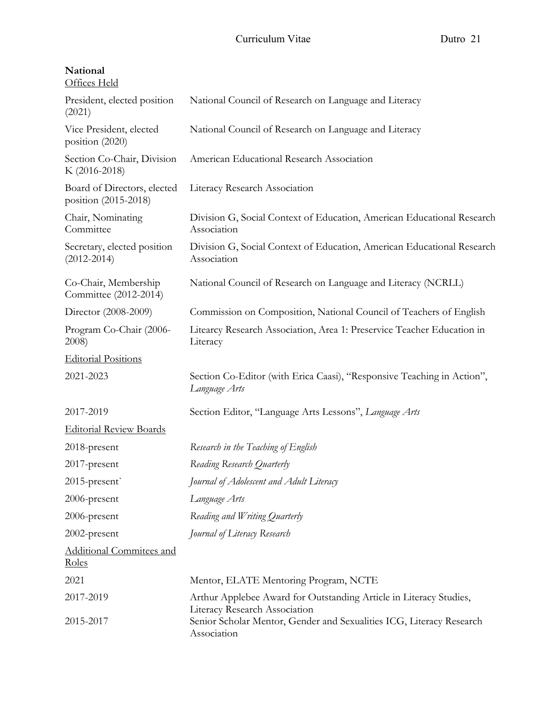**National**

| Offices Held                                        |                                                                                                                                                                                            |
|-----------------------------------------------------|--------------------------------------------------------------------------------------------------------------------------------------------------------------------------------------------|
| President, elected position<br>(2021)               | National Council of Research on Language and Literacy                                                                                                                                      |
| Vice President, elected<br>position (2020)          | National Council of Research on Language and Literacy                                                                                                                                      |
| Section Co-Chair, Division<br>K (2016-2018)         | American Educational Research Association                                                                                                                                                  |
| Board of Directors, elected<br>position (2015-2018) | Literacy Research Association                                                                                                                                                              |
| Chair, Nominating<br>Committee                      | Division G, Social Context of Education, American Educational Research<br>Association                                                                                                      |
| Secretary, elected position<br>$(2012 - 2014)$      | Division G, Social Context of Education, American Educational Research<br>Association                                                                                                      |
| Co-Chair, Membership<br>Committee (2012-2014)       | National Council of Research on Language and Literacy (NCRLL)                                                                                                                              |
| Director (2008-2009)                                | Commission on Composition, National Council of Teachers of English                                                                                                                         |
| Program Co-Chair (2006-<br>2008)                    | Litearcy Research Association, Area 1: Preservice Teacher Education in<br>Literacy                                                                                                         |
| <b>Editorial Positions</b>                          |                                                                                                                                                                                            |
| 2021-2023                                           | Section Co-Editor (with Erica Caasi), "Responsive Teaching in Action",<br>Language Arts                                                                                                    |
| 2017-2019                                           | Section Editor, "Language Arts Lessons", Language Arts                                                                                                                                     |
| <b>Editorial Review Boards</b>                      |                                                                                                                                                                                            |
| 2018-present                                        | Research in the Teaching of English                                                                                                                                                        |
| 2017-present                                        | Reading Research Quarterly                                                                                                                                                                 |
| 2015-present                                        | Journal of Adolescent and Adult Literacy                                                                                                                                                   |
| 2006-present                                        | Language Arts                                                                                                                                                                              |
| 2006-present                                        | Reading and Writing Quarterly                                                                                                                                                              |
| 2002-present                                        | Journal of Literacy Research                                                                                                                                                               |
| <b>Additional Commitees and</b><br><u>Roles</u>     |                                                                                                                                                                                            |
| 2021                                                | Mentor, ELATE Mentoring Program, NCTE                                                                                                                                                      |
| 2017-2019<br>2015-2017                              | Arthur Applebee Award for Outstanding Article in Literacy Studies,<br>Literacy Research Association<br>Senior Scholar Mentor, Gender and Sexualities ICG, Literacy Research<br>Association |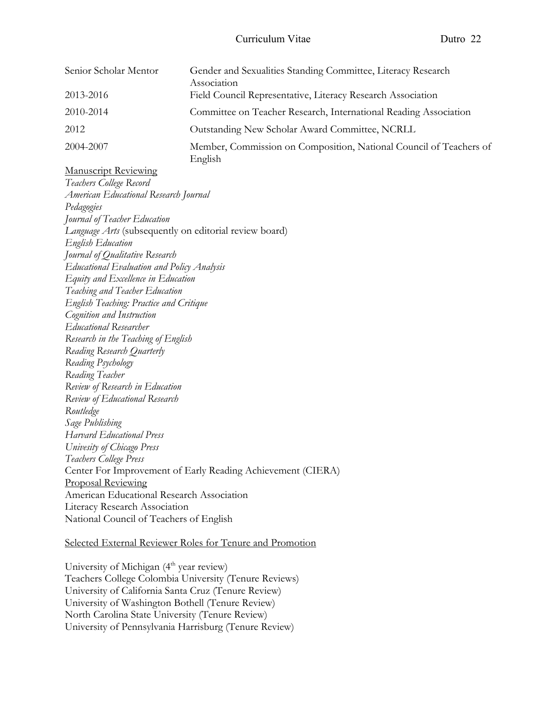| Senior Scholar Mentor | Gender and Sexualities Standing Committee, Literacy Research<br>Association   |
|-----------------------|-------------------------------------------------------------------------------|
| 2013-2016             | Field Council Representative, Literacy Research Association                   |
| 2010-2014             | Committee on Teacher Research, International Reading Association              |
| 2012                  | Outstanding New Scholar Award Committee, NCRLL                                |
| 2004-2007             | Member, Commission on Composition, National Council of Teachers of<br>English |

#### Manuscript Reviewing

*Teachers College Record American Educational Research Journal Pedagogies Journal of Teacher Education Language Arts* (subsequently on editorial review board) *English Education Journal of Qualitative Research Educational Evaluation and Policy Analysis Equity and Excellence in Education Teaching and Teacher Education English Teaching: Practice and Critique Cognition and Instruction Educational Researcher Research in the Teaching of English Reading Research Quarterly Reading Psychology Reading Teacher Review of Research in Education Review of Educational Research Routledge Sage Publishing Harvard Educational Press Univesity of Chicago Press Teachers College Press* Center For Improvement of Early Reading Achievement (CIERA) Proposal Reviewing American Educational Research Association Literacy Research Association National Council of Teachers of English

#### Selected External Reviewer Roles for Tenure and Promotion

University of Michigan (4<sup>th</sup> year review) Teachers College Colombia University (Tenure Reviews) University of California Santa Cruz (Tenure Review) University of Washington Bothell (Tenure Review) North Carolina State University (Tenure Review) University of Pennsylvania Harrisburg (Tenure Review)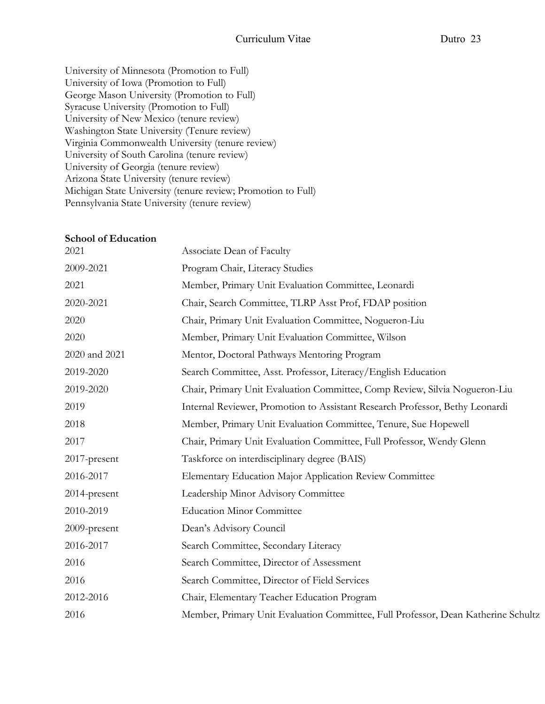University of Minnesota (Promotion to Full) University of Iowa (Promotion to Full) George Mason University (Promotion to Full) Syracuse University (Promotion to Full) University of New Mexico (tenure review) Washington State University (Tenure review) Virginia Commonwealth University (tenure review) University of South Carolina (tenure review) University of Georgia (tenure review) Arizona State University (tenure review) Michigan State University (tenure review; Promotion to Full) Pennsylvania State University (tenure review)

| <b>School of Education</b> |                                                                                   |
|----------------------------|-----------------------------------------------------------------------------------|
| 2021                       | Associate Dean of Faculty                                                         |
| 2009-2021                  | Program Chair, Literacy Studies                                                   |
| 2021                       | Member, Primary Unit Evaluation Committee, Leonardi                               |
| 2020-2021                  | Chair, Search Committee, TLRP Asst Prof, FDAP position                            |
| 2020                       | Chair, Primary Unit Evaluation Committee, Nogueron-Liu                            |
| 2020                       | Member, Primary Unit Evaluation Committee, Wilson                                 |
| 2020 and 2021              | Mentor, Doctoral Pathways Mentoring Program                                       |
| 2019-2020                  | Search Committee, Asst. Professor, Literacy/English Education                     |
| 2019-2020                  | Chair, Primary Unit Evaluation Committee, Comp Review, Silvia Nogueron-Liu        |
| 2019                       | Internal Reviewer, Promotion to Assistant Research Professor, Bethy Leonardi      |
| 2018                       | Member, Primary Unit Evaluation Committee, Tenure, Sue Hopewell                   |
| 2017                       | Chair, Primary Unit Evaluation Committee, Full Professor, Wendy Glenn             |
| 2017-present               | Taskforce on interdisciplinary degree (BAIS)                                      |
| 2016-2017                  | Elementary Education Major Application Review Committee                           |
| 2014-present               | Leadership Minor Advisory Committee                                               |
| 2010-2019                  | <b>Education Minor Committee</b>                                                  |
| 2009-present               | Dean's Advisory Council                                                           |
| 2016-2017                  | Search Committee, Secondary Literacy                                              |
| 2016                       | Search Committee, Director of Assessment                                          |
| 2016                       | Search Committee, Director of Field Services                                      |
| 2012-2016                  | Chair, Elementary Teacher Education Program                                       |
| 2016                       | Member, Primary Unit Evaluation Committee, Full Professor, Dean Katherine Schultz |
|                            |                                                                                   |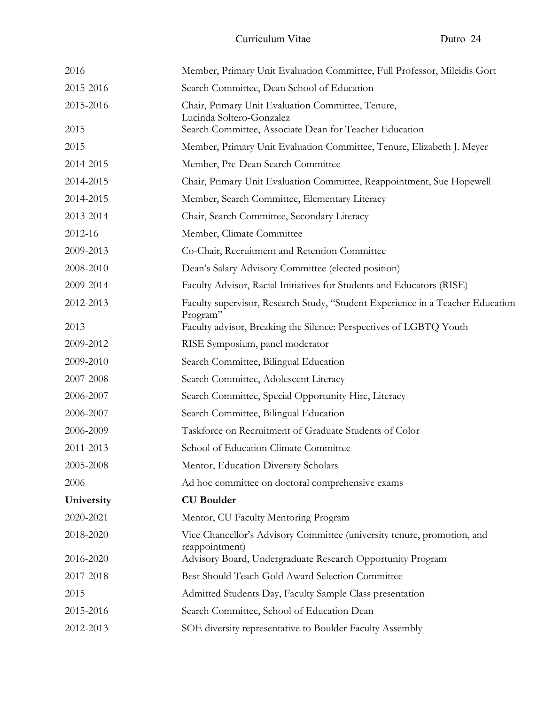| 2016       | Member, Primary Unit Evaluation Committee, Full Professor, Mileidis Gort                   |
|------------|--------------------------------------------------------------------------------------------|
| 2015-2016  | Search Committee, Dean School of Education                                                 |
| 2015-2016  | Chair, Primary Unit Evaluation Committee, Tenure,<br>Lucinda Soltero-Gonzalez              |
| 2015       | Search Committee, Associate Dean for Teacher Education                                     |
| 2015       | Member, Primary Unit Evaluation Committee, Tenure, Elizabeth J. Meyer                      |
| 2014-2015  | Member, Pre-Dean Search Committee                                                          |
| 2014-2015  | Chair, Primary Unit Evaluation Committee, Reappointment, Sue Hopewell                      |
| 2014-2015  | Member, Search Committee, Elementary Literacy                                              |
| 2013-2014  | Chair, Search Committee, Secondary Literacy                                                |
| 2012-16    | Member, Climate Committee                                                                  |
| 2009-2013  | Co-Chair, Recruitment and Retention Committee                                              |
| 2008-2010  | Dean's Salary Advisory Committee (elected position)                                        |
| 2009-2014  | Faculty Advisor, Racial Initiatives for Students and Educators (RISE)                      |
| 2012-2013  | Faculty supervisor, Research Study, "Student Experience in a Teacher Education<br>Program" |
| 2013       | Faculty advisor, Breaking the Silence: Perspectives of LGBTQ Youth                         |
| 2009-2012  | RISE Symposium, panel moderator                                                            |
| 2009-2010  | Search Committee, Bilingual Education                                                      |
| 2007-2008  | Search Committee, Adolescent Literacy                                                      |
| 2006-2007  | Search Committee, Special Opportunity Hire, Literacy                                       |
| 2006-2007  | Search Committee, Bilingual Education                                                      |
| 2006-2009  | Taskforce on Recruitment of Graduate Students of Color                                     |
| 2011-2013  | School of Education Climate Committee                                                      |
| 2005-2008  | Mentor, Education Diversity Scholars                                                       |
| 2006       | Ad hoc committee on doctoral comprehensive exams                                           |
| University | <b>CU</b> Boulder                                                                          |
| 2020-2021  | Mentor, CU Faculty Mentoring Program                                                       |
| 2018-2020  | Vice Chancellor's Advisory Committee (university tenure, promotion, and<br>reappointment)  |
| 2016-2020  | Advisory Board, Undergraduate Research Opportunity Program                                 |
| 2017-2018  | Best Should Teach Gold Award Selection Committee                                           |
| 2015       | Admitted Students Day, Faculty Sample Class presentation                                   |
| 2015-2016  | Search Committee, School of Education Dean                                                 |
| 2012-2013  | SOE diversity representative to Boulder Faculty Assembly                                   |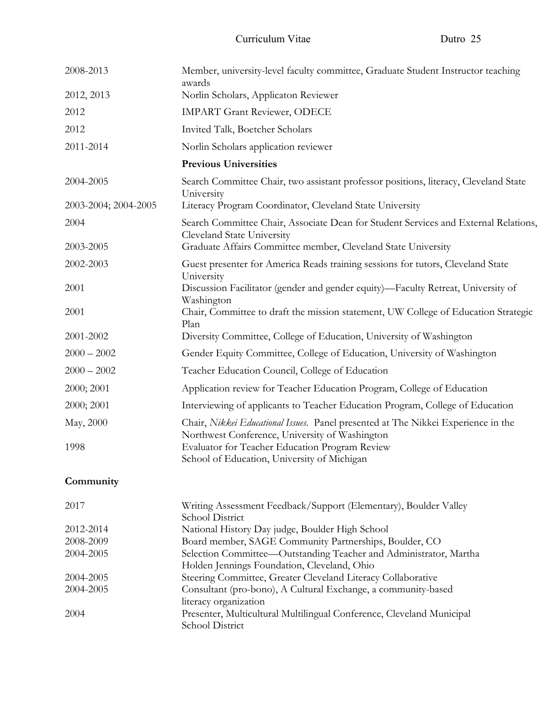| 2008-2013            | Member, university-level faculty committee, Graduate Student Instructor teaching<br>awards                                          |
|----------------------|-------------------------------------------------------------------------------------------------------------------------------------|
| 2012, 2013           | Norlin Scholars, Applicaton Reviewer                                                                                                |
| 2012                 | <b>IMPART Grant Reviewer, ODECE</b>                                                                                                 |
| 2012                 | Invited Talk, Boetcher Scholars                                                                                                     |
| 2011-2014            | Norlin Scholars application reviewer                                                                                                |
|                      | <b>Previous Universities</b>                                                                                                        |
| 2004-2005            | Search Committee Chair, two assistant professor positions, literacy, Cleveland State<br>University                                  |
| 2003-2004; 2004-2005 | Literacy Program Coordinator, Cleveland State University                                                                            |
| 2004                 | Search Committee Chair, Associate Dean for Student Services and External Relations,<br>Cleveland State University                   |
| 2003-2005            | Graduate Affairs Committee member, Cleveland State University                                                                       |
| 2002-2003            | Guest presenter for America Reads training sessions for tutors, Cleveland State<br>University                                       |
| 2001                 | Discussion Facilitator (gender and gender equity)—Faculty Retreat, University of<br>Washington                                      |
| 2001                 | Chair, Committee to draft the mission statement, UW College of Education Strategic<br>Plan                                          |
| 2001-2002            | Diversity Committee, College of Education, University of Washington                                                                 |
| $2000 - 2002$        | Gender Equity Committee, College of Education, University of Washington                                                             |
| $2000 - 2002$        | Teacher Education Council, College of Education                                                                                     |
| 2000; 2001           | Application review for Teacher Education Program, College of Education                                                              |
| 2000; 2001           | Interviewing of applicants to Teacher Education Program, College of Education                                                       |
| May, 2000            | Chair, Nikkei Educational Issues. Panel presented at The Nikkei Experience in the<br>Northwest Conference, University of Washington |
| 1998                 | Evaluator for Teacher Education Program Review<br>School of Education, University of Michigan                                       |
| Community            |                                                                                                                                     |
| 2017                 | Writing Assessment Feedback/Support (Elementary), Boulder Valley<br>School District                                                 |
| 2012-2014            | National History Day judge, Boulder High School                                                                                     |
| 2008-2009            | Board member, SAGE Community Partnerships, Boulder, CO                                                                              |
| 2004-2005            | Selection Committee-Outstanding Teacher and Administrator, Martha<br>Holden Jennings Foundation, Cleveland, Ohio                    |
| 2004-2005            | Steering Committee, Greater Cleveland Literacy Collaborative                                                                        |
| 2004-2005            | Consultant (pro-bono), A Cultural Exchange, a community-based<br>literacy organization                                              |
| 2004                 | Presenter, Multicultural Multilingual Conference, Cleveland Municipal<br>School District                                            |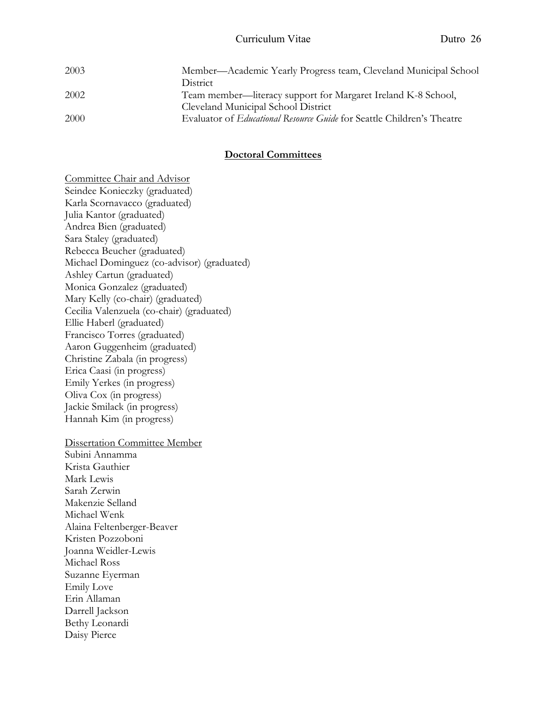| 2003 | Member—Academic Yearly Progress team, Cleveland Municipal School              |
|------|-------------------------------------------------------------------------------|
|      | <b>District</b>                                                               |
| 2002 | Team member—literacy support for Margaret Ireland K-8 School,                 |
|      | Cleveland Municipal School District                                           |
| 2000 | Evaluator of <i>Educational Resource Guide</i> for Seattle Children's Theatre |
|      |                                                                               |

## **Doctoral Committees**

Committee Chair and Advisor

Seindee Konieczky (graduated) Karla Scornavacco (graduated) Julia Kantor (graduated) Andrea Bien (graduated) Sara Staley (graduated) Rebecca Beucher (graduated) Michael Dominguez (co-advisor) (graduated) Ashley Cartun (graduated) Monica Gonzalez (graduated) Mary Kelly (co-chair) (graduated) Cecilia Valenzuela (co-chair) (graduated) Ellie Haberl (graduated) Francisco Torres (graduated) Aaron Guggenheim (graduated) Christine Zabala (in progress) Erica Caasi (in progress) Emily Yerkes (in progress) Oliva Cox (in progress) Jackie Smilack (in progress) Hannah Kim (in progress)

Dissertation Committee Member

Subini Annamma Krista Gauthier Mark Lewis Sarah Zerwin Makenzie Selland Michael Wenk Alaina Feltenberger-Beaver Kristen Pozzoboni Joanna Weidler-Lewis Michael Ross Suzanne Eyerman Emily Love Erin Allaman Darrell Jackson Bethy Leonardi Daisy Pierce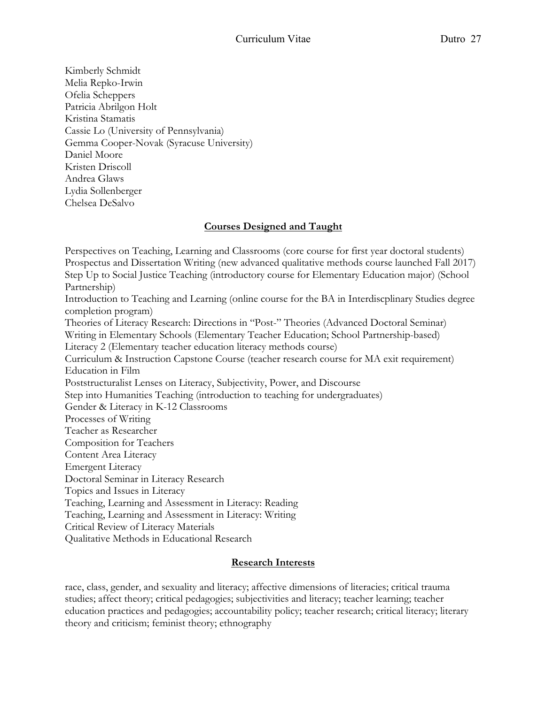Kimberly Schmidt Melia Repko-Irwin Ofelia Scheppers Patricia Abrilgon Holt Kristina Stamatis Cassie Lo (University of Pennsylvania) Gemma Cooper-Novak (Syracuse University) Daniel Moore Kristen Driscoll Andrea Glaws Lydia Sollenberger Chelsea DeSalvo

## **Courses Designed and Taught**

Perspectives on Teaching, Learning and Classrooms (core course for first year doctoral students) Prospectus and Dissertation Writing (new advanced qualitative methods course launched Fall 2017) Step Up to Social Justice Teaching (introductory course for Elementary Education major) (School Partnership) Introduction to Teaching and Learning (online course for the BA in Interdiscplinary Studies degree completion program) Theories of Literacy Research: Directions in "Post-" Theories (Advanced Doctoral Seminar) Writing in Elementary Schools (Elementary Teacher Education; School Partnership-based) Literacy 2 (Elementary teacher education literacy methods course) Curriculum & Instruction Capstone Course (teacher research course for MA exit requirement) Education in Film Poststructuralist Lenses on Literacy, Subjectivity, Power, and Discourse Step into Humanities Teaching (introduction to teaching for undergraduates) Gender & Literacy in K-12 Classrooms Processes of Writing Teacher as Researcher Composition for Teachers Content Area Literacy Emergent Literacy Doctoral Seminar in Literacy Research Topics and Issues in Literacy Teaching, Learning and Assessment in Literacy: Reading Teaching, Learning and Assessment in Literacy: Writing Critical Review of Literacy Materials Qualitative Methods in Educational Research

## **Research Interests**

race, class, gender, and sexuality and literacy; affective dimensions of literacies; critical trauma studies; affect theory; critical pedagogies; subjectivities and literacy; teacher learning; teacher education practices and pedagogies; accountability policy; teacher research; critical literacy; literary theory and criticism; feminist theory; ethnography